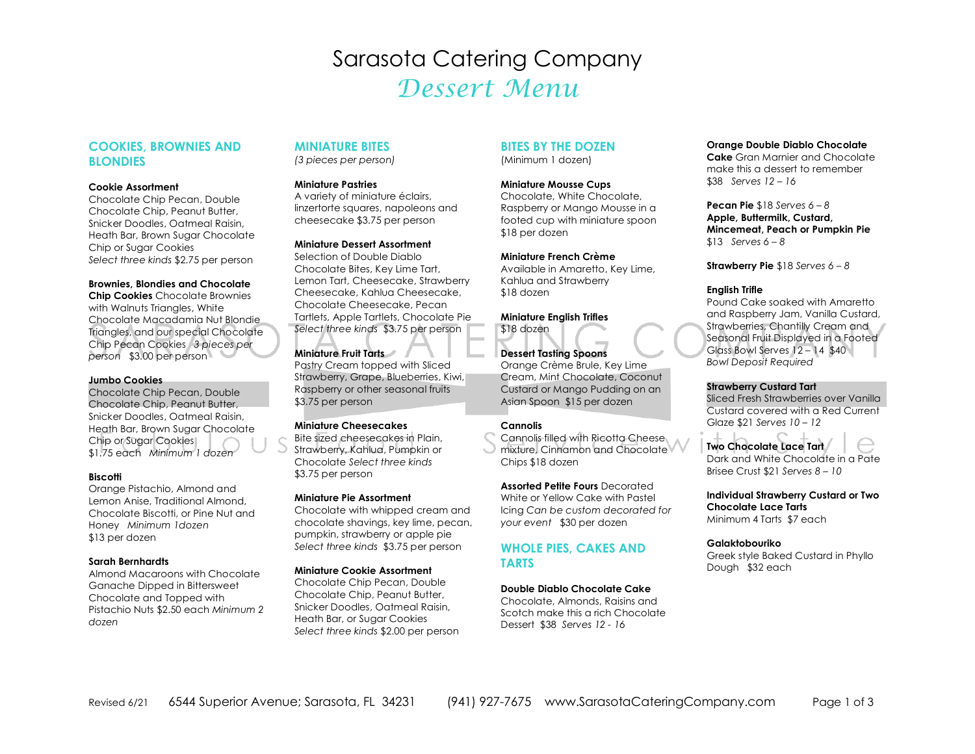# Sarasota Catering Company Dessert Menu

## **COOKIES, BROWNIES AND BLONDIES**

#### **Cookie Assortment**

 Chocolate Chip Pecan, Double Chocolate Chip, Peanut Butter, Snicker Doodles, Oatmeal Raisin, Heath Bar, Brown Sugar Chocolate Chip or Sugar Cookies *Select three kinds* \$2.75 per person

#### **Brownies, Blondies and Chocolate**

 **Chip Cookies** Chocolate Brownies with Walnuts Triangles, White Chocolate Macadamia Nut Blondie Triangles, and our special Chocolate Chip Pecan Cookies *3 pieces per person* \$3.00 per person

#### **Jumbo Cookies**

 Chocolate Chip Pecan, Double Chocolate Chip, Peanut Butter, Snicker Doodles, Oatmeal Raisin, Heath Bar, Brown Sugar Chocolate Chip or Sugar Cookies \$1.75 each *Minimum 1 dozen*

#### **Biscotti**

 Orange Pistachio, Almond and Lemon Anise, Traditional Almond, Chocolate Biscotti, or Pine Nut and Honey *Minimum 1dozen*\$13 per dozen

#### **Sarah Bernhardts**

 Almond Macaroons with Chocolate Ganache Dipped in Bittersweet Chocolate and Topped with Pistachio Nuts \$2.50 each *Minimum 2 dozen*

#### **MINIATURE BITES**

*(3 pieces per person)* 

### **Miniature Pastries**

 A variety of miniature éclairs, linzertorte squares, napoleons and cheesecake \$3.75 per person

#### **Miniature Dessert Assortment**

Selection of Double Diablo Chocolate Bites, Key Lime Tart, Lemon Tart, Cheesecake, Strawberry Cheesecake, Kahlua Cheesecake, Chocolate Cheesecake, Pecan Tartlets, Apple Tartlets, Chocolate Pie *Select three kinds* \$3.75 per person

#### **Miniature Fruit Tarts**

 Pastry Cream topped with Sliced Strawberry, Grape, Blueberries, Kiwi, Raspberry or other seasonal fruits \$3.75 per person

#### **Miniature Cheesecakes**

 Bite sized cheesecakes in Plain, Strawberry, Kahlua, Pumpkin or Chocolate *Select three kinds*\$3.75 per person

#### **Miniature Pie Assortment**

 Chocolate with whipped cream and chocolate shavings, key lime, pecan, pumpkin, strawberry or apple pie *Select three kinds* \$3.75 per person

#### **Miniature Cookie Assortment**

 Chocolate Chip Pecan, Double Chocolate Chip, Peanut Butter, Snicker Doodles, Oatmeal Raisin, Heath Bar, or Sugar Cookies *Select three kinds* \$2.00 per person

## **BITES BY THE DOZEN**

(Minimum 1 dozen)

### **Miniature Mousse Cups**

 Chocolate, White Chocolate, Raspberry or Mango Mousse in a footed cup with miniature spoon \$18 per dozen

#### **Miniature French Crème**Available in Amaretto, Key Lime,

Kahlua and Strawberry \$18 dozen

**Miniature English Trifles** \$18 dozen

**Dessert Tasting Spoons**  Orange Crème Brule, Key Lime Cream, Mint Chocolate, Coconut Custard or Mango Pudding on an Asian Spoon \$15 per dozen

#### **Cannolis**

 Cannolis filled with Ricotta Cheese mixture, Cinnamon and Chocolate Chips \$18 dozen

**Assorted Petite Fours** Decorated White or Yellow Cake with Pastel Icing *Can be custom decorated for your event* \$30 per dozen

## **WHOLE PIES, CAKES AND TARTS**

#### **Double Diablo Chocolate Cake**

 Chocolate, Almonds, Raisins and Scotch make this a rich Chocolate Dessert \$38 *Serves 12 - 16*

#### **Orange Double Diablo Chocolate**

 **Cake** Gran Marnier and Chocolate make this a dessert to remember \$38 *Serves 12 – 16* 

**Pecan Pie** \$18 *Serves 6 – 8*  **Apple, Buttermilk, Custard, Mincemeat, Peach or Pumpkin Pie** \$13 *Serves 6 – 8* 

**Strawberry Pie** \$18 *Serves 6 – 8*

#### **English Trifle**

 Pound Cake soaked with Amaretto and Raspberry Jam, Vanilla Custard, Strawberries, Chantilly Cream and Seasonal Fruit Displayed in a Footed Glass Bowl Serves 12 – 14 \$40 *Bowl Deposit Required* 

#### **Strawberry Custard Tart**

 Sliced Fresh Strawberries over Vanilla Custard covered with a Red Current Glaze \$21 *Serves 10 – 12* 

## **Two Chocolate Lace Tart**

 Dark and White Chocolate in a Pate Brisee Crust \$21 *Serves 8 – 10* 

**Individual Strawberry Custard or Two Chocolate Lace Tarts**Minimum 4 Tarts \$7 each

#### **Galaktobouriko**

 Greek style Baked Custard in Phyllo Dough \$32 each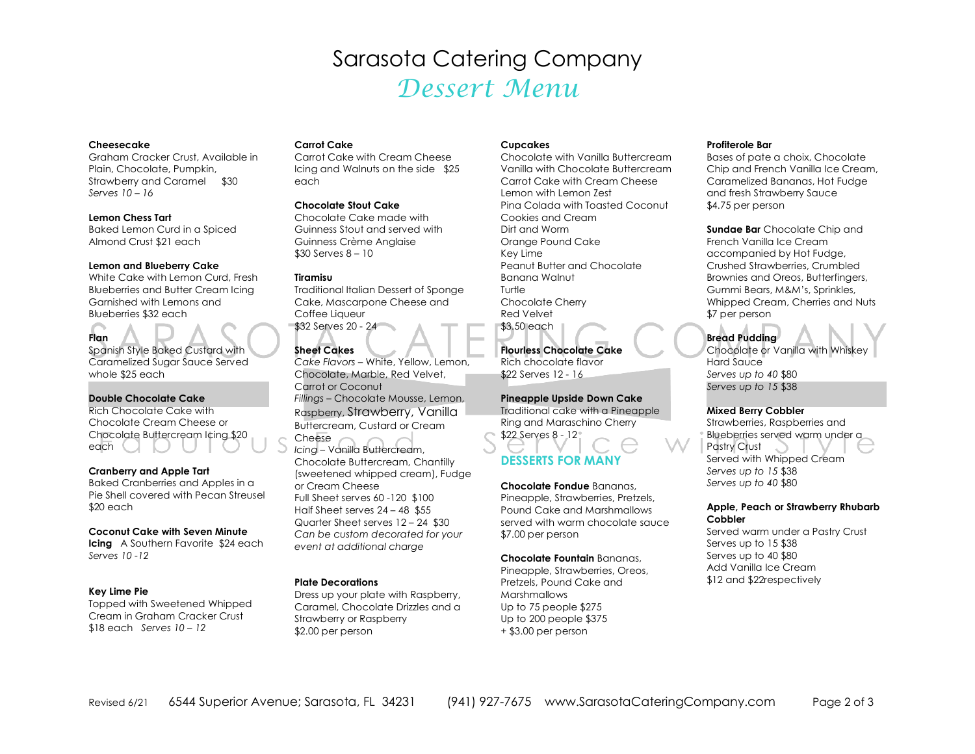# Sarasota Catering Company Dessert Menu

#### **Cheesecake**

 Graham Cracker Crust, Available in Plain, Chocolate, Pumpkin, Strawberry and Caramel \$30 *Serves 10 – 16*

#### **Lemon Chess Tart**

 Baked Lemon Curd in a Spiced Almond Crust \$21 each

#### **Lemon and Blueberry Cake**

 White Cake with Lemon Curd, Fresh Blueberries and Butter Cream Icing Garnished with Lemons and Blueberries \$32 each

## **Flan**

 Spanish Style Baked Custard with Caramelized Sugar Sauce Served whole \$25 each

#### **Double Chocolate Cake**

 Rich Chocolate Cake with Chocolate Cream Cheese or Chocolate Buttercream Icing \$20 each and the search of the search of the search of the search of the search of the search of the search of the search of the search of the search of the search of the search of the search of the search of the search of the

#### **Cranberry and Apple Tart**

 Baked Cranberries and Apples in a Pie Shell covered with Pecan Streusel \$20 each

#### **Coconut Cake with Seven Minute**

 **Icing** A Southern Favorite \$24 each *Serves 10 -12* 

#### **Key Lime Pie**

Topped with Sweetened Whipped Cream in Graham Cracker Crust \$18 each *Serves 10 – 12*

#### **Carrot Cake**

 Carrot Cake with Cream Cheese Icing and Walnuts on the side \$25 each

#### **Chocolate Stout Cake**

 Chocolate Cake made with Guinness Stout and served with Guinness Crème Anglaise \$30 Serves 8 – 10

#### **Tiramisu**

 Traditional Italian Dessert of Sponge Cake, Mascarpone Cheese and Coffee Liqueur \$32 Serves 20 - 24

#### **Sheet Cakes**

 *Cake Flavors* – White, Yellow, Lemon, Chocolate, Marble, Red Velvet, Carrot or Coconut *Fillings* – Chocolate Mousse, Lemon, Raspberry, Strawberry, Vanilla Buttercream, Custard or Cream Cheese

 *Icing* – Vanilla Buttercream, Chocolate Buttercream, Chantilly (sweetened whipped cream), Fudge or Cream Cheese Full Sheet serves 60 -120 \$100 Half Sheet serves 24 – 48 \$55 Quarter Sheet serves 12 – 24 \$30 *Can be custom decorated for your event at additional charge* 

#### **Plate Decorations**

 Dress up your plate with Raspberry, Caramel, Chocolate Drizzles and a Strawberry or Raspberry \$2.00 per person

#### **Cupcakes**

 Chocolate with Vanilla Buttercream Vanilla with Chocolate Buttercream Carrot Cake with Cream Cheese Lemon with Lemon Zest Pina Colada with Toasted Coconut Cookies and Cream Dirt and Worm Orange Pound Cake Key Lime Peanut Butter and Chocolate Banana Walnut Turtle Chocolate Cherry Red Velvet \$3.50 each

## **Flourless Chocolate Cake**

Rich chocolate flavor \$22 Serves 12 - 16

**Pineapple Upside Down Cake**  Traditional cake with a Pineapple Ring and Maraschino Cherry \$22 Serves 8 - 12

## **DESSERTS FOR MANY**

**Chocolate Fondue** Bananas, Pineapple, Strawberries, Pretzels, Pound Cake and Marshmallows served with warm chocolate sauce \$7.00 per person

**Chocolate Fountain** Bananas, Pineapple, Strawberries, Oreos, Pretzels, Pound Cake and **Marshmallows**  Up to 75 people \$275 Up to 200 people \$375 + \$3.00 per person

#### **Profiterole Bar**

 Bases of pate a choix, Chocolate Chip and French Vanilla Ice Cream, Caramelized Bananas, Hot Fudge and fresh Strawberry Sauce \$4.75 per person

**Sundae Bar** Chocolate Chip and French Vanilla Ice Cream accompanied by Hot Fudge, Crushed Strawberries, Crumbled Brownies and Oreos, Butterfingers, Gummi Bears, M&M's, Sprinkles, Whipped Cream, Cherries and Nuts \$7 per person

**Bread Pudding**  Chocolate or Vanilla with Whiskey Hard Sauce *Serves up to 40* \$80 *Serves up to 15* \$38

#### **Mixed Berry Cobbler**

 Strawberries, Raspberries and Blueberries served warm under a Pastry Crust Served with Whipped Cream *Serves up to 15* \$38 *Serves up to 40* \$80

#### **Apple, Peach or Strawberry Rhubarb Cobbler**

 Served warm under a Pastry Crust Serves up to 15 \$38 Serves up to 40 \$80 Add Vanilla Ice Cream \$12 and \$22respectively